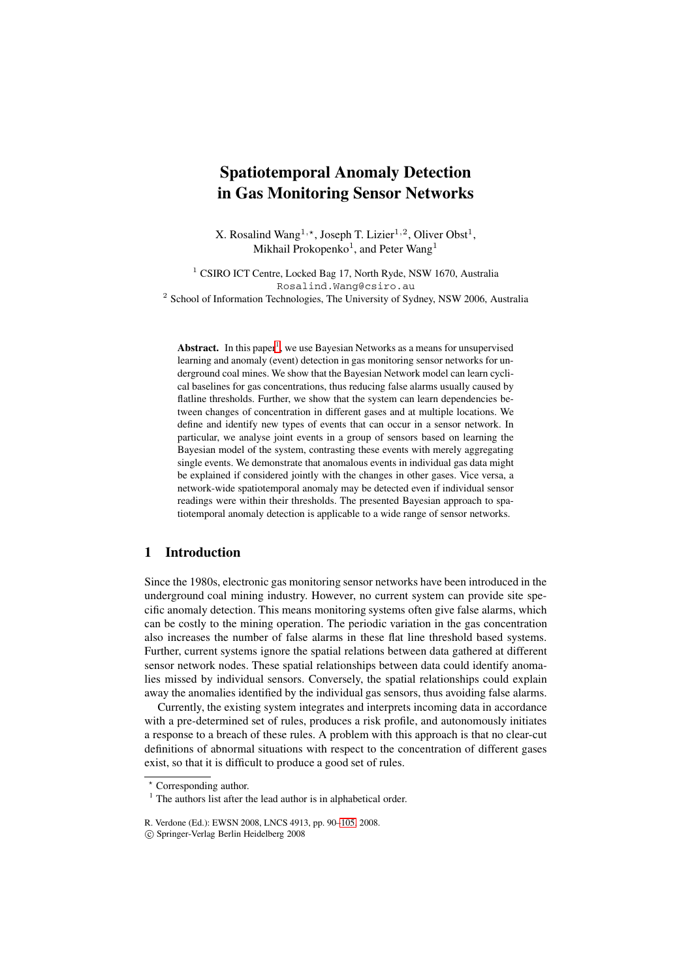# **Spatiotemporal Anomaly Detection in Gas Monitoring Sensor Networks**

X. Rosalind Wang<sup>1,\*</sup>, Joseph T. Lizier<sup>1,2</sup>, Oliver Obst<sup>1</sup>, Mikhail Prokopenko<sup>1</sup>, and Peter Wang<sup>1</sup>

<sup>1</sup> CSIRO ICT Centre, Locked Bag 17, North Ryde, NSW 1670, Australia Rosalind.Wang@csiro.au <sup>2</sup> School of Information Technologies, The University of Sydney, NSW 2006, Australia

Abstract. In this paper<sup>[1](#page-0-0)</sup>, we use Bayesian Networks as a means for unsupervised learning and anomaly (event) detection in gas monitoring sensor networks for underground coal mines. We show that the Bayesian Network model can learn cyclical baselines for gas concentrations, thus reducing false alarms usually caused by flatline thresholds. Further, we show that the system can learn dependencies between changes of concentration in different gases and at multiple locations. We define and identify new types of events that can occur in a sensor network. In particular, we analyse joint events in a group of sensors based on learning the Bayesian model of the system, contrasting these events with merely aggregating single events. We demonstrate that anomalous events in individual gas data might be explained if considered jointly with the changes in other gases. Vice versa, a network-wide spatiotemporal anomaly may be detected even if individual sensor readings were within their thresholds. The presented Bayesian approach to spatiotemporal anomaly detection is applicable to a wide range of sensor networks.

# **1 Introduction**

Since the 1980s, electronic gas monitoring sensor networks have been introduced in the underground coal mining industry. However, no current system can provide site specific anomaly detection. This means monitoring systems often give false alarms, which can be costly to the mining operation. The periodic variation in the gas concentration also increases the number of false alarms in these flat line threshold based systems. Further, current systems ignore the spatial relations between data gathered at different sensor network nodes. These spatial relationships between data could identify anomalies missed by individual sensors. Conversely, the spatial relationships could explain away the anomalies identified by the individual gas sensors, thus avoiding false alarms.

Currently, the existing system integrates and interprets incoming data in accordance with a pre-determined set of rules, produces a risk profile, and autonomously initiates a response to a breach of these rules. A problem with this approach is that no clear-cut definitions of abnormal situations with respect to the concentration of different gases exist, so that it is difficult to produce a good set of rules.

<sup>-</sup> Corresponding author.

 $1$  The authors list after the lead author is in alphabetical order.

<span id="page-0-0"></span>R. Verdone (Ed.): EWSN 2008, LNCS 4913, pp. 90[–105,](#page-15-0) 2008.

<sup>-</sup>c Springer-Verlag Berlin Heidelberg 2008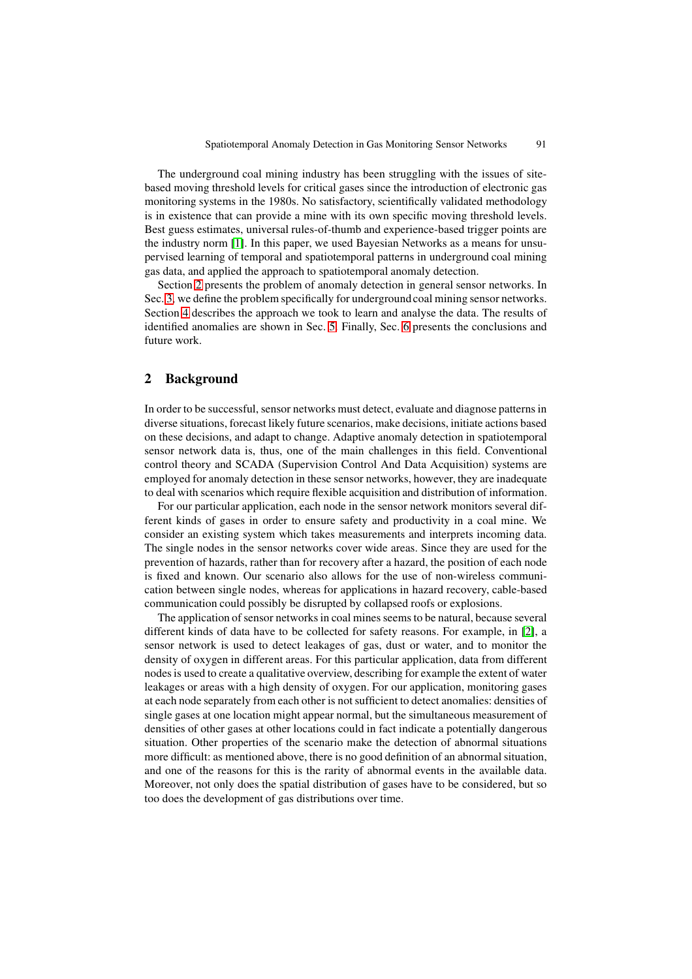The underground coal mining industry has been struggling with the issues of sitebased moving threshold levels for critical gases since the introduction of electronic gas monitoring systems in the 1980s. No satisfactory, scientifically validated methodology is in existence that can provide a mine with its own specific moving threshold levels. Best guess estimates, universal rules-of-thumb and experience-based trigger points are the industry norm [\[1\]](#page-13-0). In this paper, we used Bayesian Networks as a means for unsupervised learning of temporal and spatiotemporal patterns in underground coal mining gas data, and applied the approach to spatiotemporal anomaly detection.

Section [2](#page-1-0) presents the problem of anomaly detection in general sensor networks. In Sec. [3,](#page-3-0) we define the problem specifically for underground coal mining sensor networks. Section [4](#page-4-0) describes the approach we took to learn and analyse the data. The results of identified anomalies are shown in Sec. [5.](#page-8-0) Finally, Sec. [6](#page-12-0) presents the conclusions and future work.

# <span id="page-1-0"></span>**2 Background**

In order to be successful, sensor networks must detect, evaluate and diagnose patterns in diverse situations, forecast likely future scenarios, make decisions, initiate actions based on these decisions, and adapt to change. Adaptive anomaly detection in spatiotemporal sensor network data is, thus, one of the main challenges in this field. Conventional control theory and SCADA (Supervision Control And Data Acquisition) systems are employed for anomaly detection in these sensor networks, however, they are inadequate to deal with scenarios which require flexible acquisition and distribution of information.

For our particular application, each node in the sensor network monitors several different kinds of gases in order to ensure safety and productivity in a coal mine. We consider an existing system which takes measurements and interprets incoming data. The single nodes in the sensor networks cover wide areas. Since they are used for the prevention of hazards, rather than for recovery after a hazard, the position of each node is fixed and known. Our scenario also allows for the use of non-wireless communication between single nodes, whereas for applications in hazard recovery, cable-based communication could possibly be disrupted by collapsed roofs or explosions.

The application of sensor networks in coal mines seems to be natural, because several different kinds of data have to be collected for safety reasons. For example, in [\[2\]](#page-14-0), a sensor network is used to detect leakages of gas, dust or water, and to monitor the density of oxygen in different areas. For this particular application, data from different nodes is used to create a qualitative overview, describing for example the extent of water leakages or areas with a high density of oxygen. For our application, monitoring gases at each node separately from each other is not sufficient to detect anomalies: densities of single gases at one location might appear normal, but the simultaneous measurement of densities of other gases at other locations could in fact indicate a potentially dangerous situation. Other properties of the scenario make the detection of abnormal situations more difficult: as mentioned above, there is no good definition of an abnormal situation, and one of the reasons for this is the rarity of abnormal events in the available data. Moreover, not only does the spatial distribution of gases have to be considered, but so too does the development of gas distributions over time.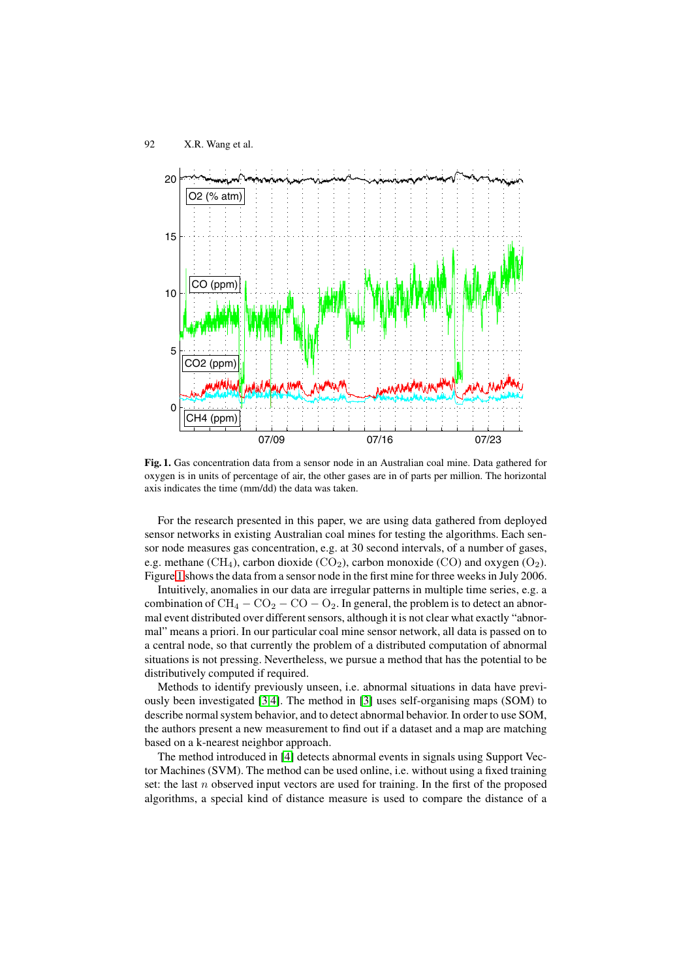



<span id="page-2-0"></span>**Fig. 1.** Gas concentration data from a sensor node in an Australian coal mine. Data gathered for oxygen is in units of percentage of air, the other gases are in of parts per million. The horizontal axis indicates the time (mm/dd) the data was taken.

For the research presented in this paper, we are using data gathered from deployed sensor networks in existing Australian coal mines for testing the algorithms. Each sensor node measures gas concentration, e.g. at 30 second intervals, of a number of gases, e.g. methane (CH<sub>4</sub>), carbon dioxide (CO<sub>2</sub>), carbon monoxide (CO) and oxygen (O<sub>2</sub>). Figure [1](#page-2-0) shows the data from a sensor node in the first mine for three weeks in July 2006.

Intuitively, anomalies in our data are irregular patterns in multiple time series, e.g. a combination of  $CH_4 - CO_2 - CO - O_2$ . In general, the problem is to detect an abnormal event distributed over different sensors, although it is not clear what exactly "abnormal" means a priori. In our particular coal mine sensor network, all data is passed on to a central node, so that currently the problem of a distributed computation of abnormal situations is not pressing. Nevertheless, we pursue a method that has the potential to be distributively computed if required.

Methods to identify previously unseen, i.e. abnormal situations in data have previously been investigated [\[3,](#page-14-1)[4\]](#page-14-2). The method in [\[3\]](#page-14-1) uses self-organising maps (SOM) to describe normal system behavior, and to detect abnormal behavior. In order to use SOM, the authors present a new measurement to find out if a dataset and a map are matching based on a k-nearest neighbor approach.

The method introduced in [\[4\]](#page-14-2) detects abnormal events in signals using Support Vector Machines (SVM). The method can be used online, i.e. without using a fixed training set: the last  $n$  observed input vectors are used for training. In the first of the proposed algorithms, a special kind of distance measure is used to compare the distance of a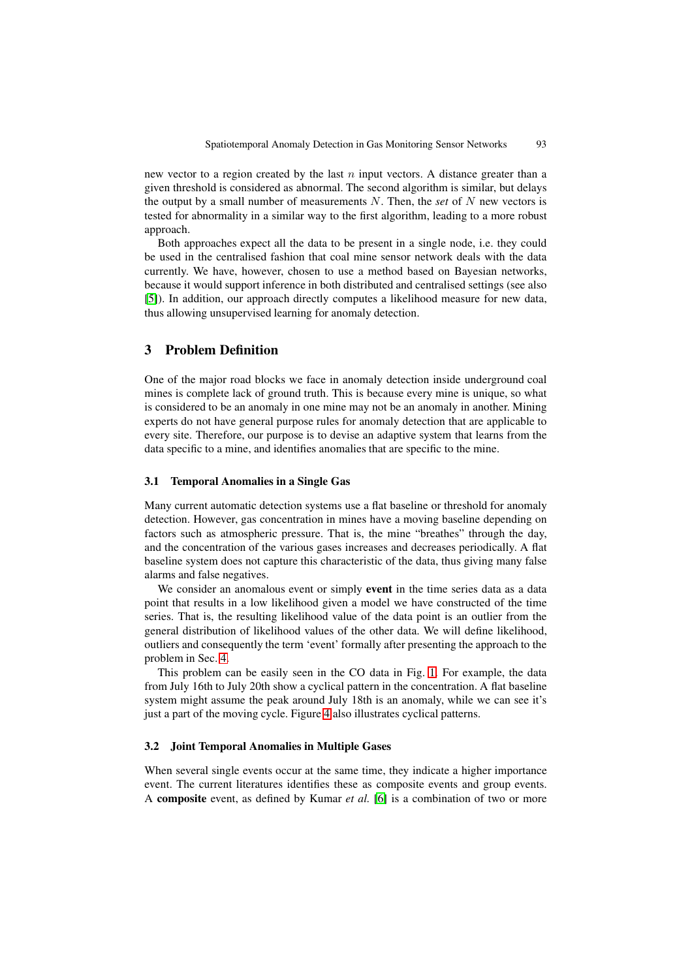new vector to a region created by the last  $n$  input vectors. A distance greater than a given threshold is considered as abnormal. The second algorithm is similar, but delays the output by a small number of measurements N. Then, the *set* of N new vectors is tested for abnormality in a similar way to the first algorithm, leading to a more robust approach.

Both approaches expect all the data to be present in a single node, i.e. they could be used in the centralised fashion that coal mine sensor network deals with the data currently. We have, however, chosen to use a method based on Bayesian networks, because it would support inference in both distributed and centralised settings (see also [\[5\]](#page-14-3)). In addition, our approach directly computes a likelihood measure for new data, thus allowing unsupervised learning for anomaly detection.

# <span id="page-3-0"></span>**3 Problem Definition**

One of the major road blocks we face in anomaly detection inside underground coal mines is complete lack of ground truth. This is because every mine is unique, so what is considered to be an anomaly in one mine may not be an anomaly in another. Mining experts do not have general purpose rules for anomaly detection that are applicable to every site. Therefore, our purpose is to devise an adaptive system that learns from the data specific to a mine, and identifies anomalies that are specific to the mine.

### **3.1 Temporal Anomalies in a Single Gas**

Many current automatic detection systems use a flat baseline or threshold for anomaly detection. However, gas concentration in mines have a moving baseline depending on factors such as atmospheric pressure. That is, the mine "breathes" through the day, and the concentration of the various gases increases and decreases periodically. A flat baseline system does not capture this characteristic of the data, thus giving many false alarms and false negatives.

We consider an anomalous event or simply **event** in the time series data as a data point that results in a low likelihood given a model we have constructed of the time series. That is, the resulting likelihood value of the data point is an outlier from the general distribution of likelihood values of the other data. We will define likelihood, outliers and consequently the term 'event' formally after presenting the approach to the problem in Sec. [4.](#page-4-0)

This problem can be easily seen in the CO data in Fig. [1.](#page-2-0) For example, the data from July 16th to July 20th show a cyclical pattern in the concentration. A flat baseline system might assume the peak around July 18th is an anomaly, while we can see it's just a part of the moving cycle. Figure [4](#page-9-0) also illustrates cyclical patterns.

### <span id="page-3-1"></span>**3.2 Joint Temporal Anomalies in Multiple Gases**

When several single events occur at the same time, they indicate a higher importance event. The current literatures identifies these as composite events and group events. A **composite** event, as defined by Kumar *et al.* [\[6\]](#page-14-4) is a combination of two or more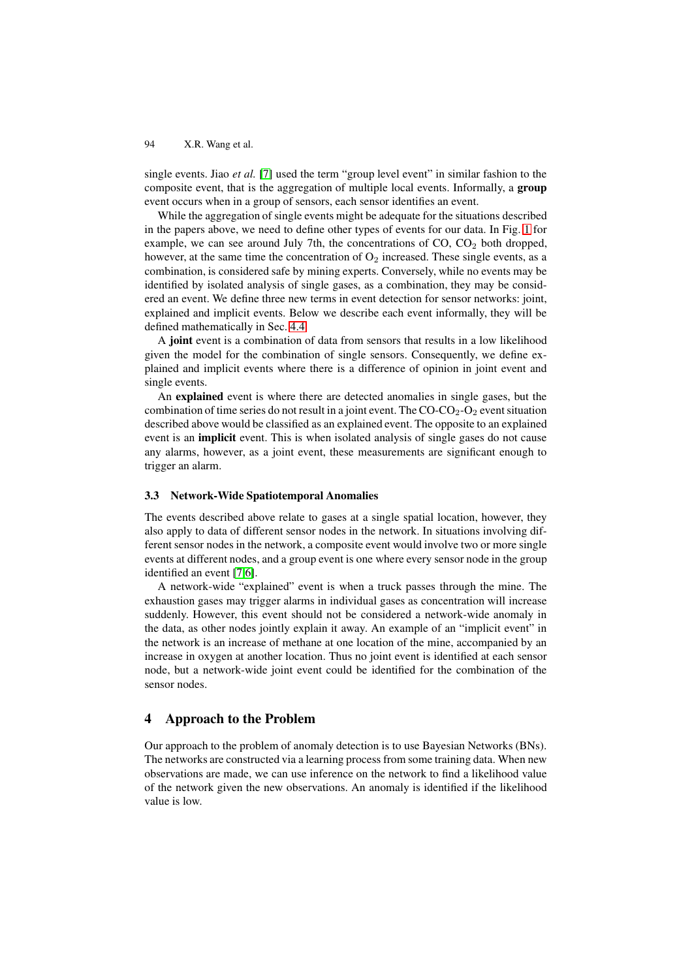single events. Jiao *et al.* [\[7\]](#page-14-5) used the term "group level event" in similar fashion to the composite event, that is the aggregation of multiple local events. Informally, a **group** event occurs when in a group of sensors, each sensor identifies an event.

While the aggregation of single events might be adequate for the situations described in the papers above, we need to define other types of events for our data. In Fig. [1](#page-2-0) for example, we can see around July 7th, the concentrations of  $CO$ ,  $CO<sub>2</sub>$  both dropped, however, at the same time the concentration of  $O_2$  increased. These single events, as a combination, is considered safe by mining experts. Conversely, while no events may be identified by isolated analysis of single gases, as a combination, they may be considered an event. We define three new terms in event detection for sensor networks: joint, explained and implicit events. Below we describe each event informally, they will be defined mathematically in Sec. [4.4.](#page-7-0)

A **joint** event is a combination of data from sensors that results in a low likelihood given the model for the combination of single sensors. Consequently, we define explained and implicit events where there is a difference of opinion in joint event and single events.

An **explained** event is where there are detected anomalies in single gases, but the combination of time series do not result in a joint event. The  $CO-CO<sub>2</sub>-O<sub>2</sub>$  event situation described above would be classified as an explained event. The opposite to an explained event is an **implicit** event. This is when isolated analysis of single gases do not cause any alarms, however, as a joint event, these measurements are significant enough to trigger an alarm.

### <span id="page-4-1"></span>**3.3 Network-Wide Spatiotemporal Anomalies**

The events described above relate to gases at a single spatial location, however, they also apply to data of different sensor nodes in the network. In situations involving different sensor nodes in the network, a composite event would involve two or more single events at different nodes, and a group event is one where every sensor node in the group identified an event [\[7](#page-14-5)[,6\]](#page-14-4).

A network-wide "explained" event is when a truck passes through the mine. The exhaustion gases may trigger alarms in individual gases as concentration will increase suddenly. However, this event should not be considered a network-wide anomaly in the data, as other nodes jointly explain it away. An example of an "implicit event" in the network is an increase of methane at one location of the mine, accompanied by an increase in oxygen at another location. Thus no joint event is identified at each sensor node, but a network-wide joint event could be identified for the combination of the sensor nodes.

# <span id="page-4-0"></span>**4 Approach to the Problem**

Our approach to the problem of anomaly detection is to use Bayesian Networks (BNs). The networks are constructed via a learning process from some training data. When new observations are made, we can use inference on the network to find a likelihood value of the network given the new observations. An anomaly is identified if the likelihood value is low.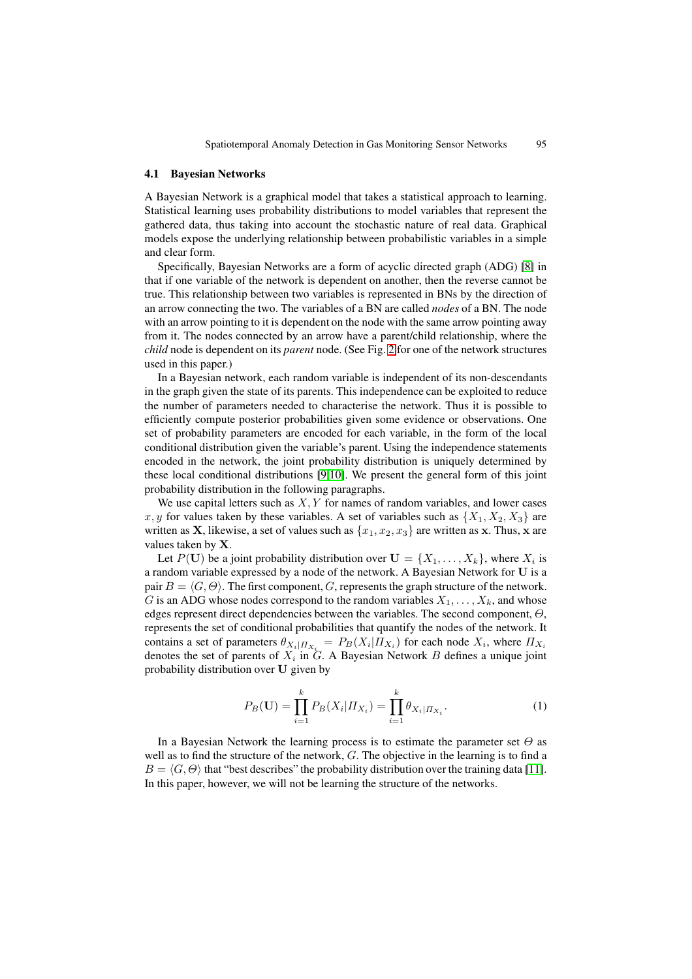#### **4.1 Bayesian Networks**

A Bayesian Network is a graphical model that takes a statistical approach to learning. Statistical learning uses probability distributions to model variables that represent the gathered data, thus taking into account the stochastic nature of real data. Graphical models expose the underlying relationship between probabilistic variables in a simple and clear form.

Specifically, Bayesian Networks are a form of acyclic directed graph (ADG) [\[8\]](#page-14-6) in that if one variable of the network is dependent on another, then the reverse cannot be true. This relationship between two variables is represented in BNs by the direction of an arrow connecting the two. The variables of a BN are called *nodes* of a BN. The node with an arrow pointing to it is dependent on the node with the same arrow pointing away from it. The nodes connected by an arrow have a parent/child relationship, where the *child* node is dependent on its *parent* node. (See Fig. [2](#page-6-0) for one of the network structures used in this paper.)

In a Bayesian network, each random variable is independent of its non-descendants in the graph given the state of its parents. This independence can be exploited to reduce the number of parameters needed to characterise the network. Thus it is possible to efficiently compute posterior probabilities given some evidence or observations. One set of probability parameters are encoded for each variable, in the form of the local conditional distribution given the variable's parent. Using the independence statements encoded in the network, the joint probability distribution is uniquely determined by these local conditional distributions [\[9](#page-14-7)[,10\]](#page-14-8). We present the general form of this joint probability distribution in the following paragraphs.

We use capital letters such as  $X, Y$  for names of random variables, and lower cases x, y for values taken by these variables. A set of variables such as  $\{X_1, X_2, X_3\}$  are written as **X**, likewise, a set of values such as  $\{x_1, x_2, x_3\}$  are written as **x**. Thus, **x** are values taken by **X**.

Let  $P(\mathbf{U})$  be a joint probability distribution over  $\mathbf{U} = \{X_1, \ldots, X_k\}$ , where  $X_i$  is a random variable expressed by a node of the network. A Bayesian Network for **U** is a pair  $B = \langle G, \Theta \rangle$ . The first component, G, represents the graph structure of the network.<br>G is an ADG whose nodes correspond to the random variables  $X_i$ ,  $X_i$  and whose G is an ADG whose nodes correspond to the random variables  $X_1, \ldots, X_k$ , and whose edges represent direct dependencies between the variables. The second component,  $\Theta$ , represents the set of conditional probabilities that quantify the nodes of the network. It contains a set of parameters  $\theta_{X_i|H_{X_i}} = P_B(X_i|H_{X_i})$  for each node  $X_i$ , where  $H_{X_i}$ denotes the set of parents of  $X_i$  in  $\hat{G}$ . A Bayesian Network B defines a unique joint probability distribution over **U** given by

$$
P_B(\mathbf{U}) = \prod_{i=1}^k P_B(X_i | \Pi_{X_i}) = \prod_{i=1}^k \theta_{X_i | \Pi_{X_i}}.
$$
 (1)

In a Bayesian Network the learning process is to estimate the parameter set  $\Theta$  as well as to find the structure of the network, G. The objective in the learning is to find a  $B = \langle G, \Theta \rangle$  that "best describes" the probability distribution over the training data [\[11\]](#page-14-9).<br>In this paper, however, we will not be learning the structure of the networks In this paper, however, we will not be learning the structure of the networks.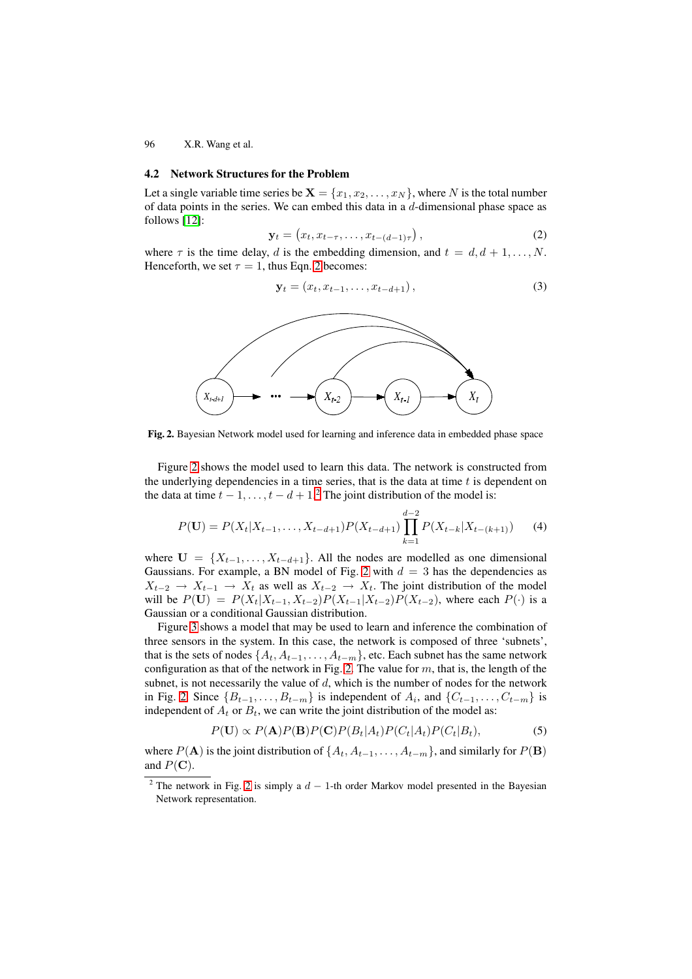#### **4.2 Network Structures for the Problem**

<span id="page-6-1"></span>Let a single variable time series be  $X = \{x_1, x_2, \ldots, x_N\}$ , where N is the total number of data points in the series. We can embed this data in a  $d$ -dimensional phase space as follows [\[12\]](#page-14-10):

$$
\mathbf{y}_t = \begin{pmatrix} x_t, x_{t-\tau}, \dots, x_{t-(d-1)\tau} \end{pmatrix},\tag{2}
$$

where  $\tau$  is the time delay, d is the embedding dimension, and  $t = d, d + 1, \ldots, N$ .<br>Henceforth we set  $\tau = 1$ , thus Eqn. 2 becomes: Henceforth, we set  $\tau = 1$ , thus Eqn. [2](#page-6-1) becomes:

$$
\mathbf{y}_t = (x_t, x_{t-1}, \dots, x_{t-d+1}), \tag{3}
$$



<span id="page-6-0"></span>**Fig. 2.** Bayesian Network model used for learning and inference data in embedded phase space

Figure [2](#page-6-0) shows the model used to learn this data. The network is constructed from the underlying dependencies in a time series, that is the data at time  $t$  is dependent on the data at time  $t - 1, \ldots, t - d + 1$ <sup>[2](#page-6-2)</sup> The joint distribution of the model is:

$$
P(\mathbf{U}) = P(X_t | X_{t-1}, \dots, X_{t-d+1}) P(X_{t-d+1}) \prod_{k=1}^{d-2} P(X_{t-k} | X_{t-(k+1)}) \tag{4}
$$

where  $\mathbf{U} = \{X_{t-1}, \ldots, X_{t-d+1}\}.$  All the nodes are modelled as one dimensional Gaussians. For example, a BN model of Fig. [2](#page-6-0) with  $d = 3$  has the dependencies as  $X_{t-2} \rightarrow X_{t-1} \rightarrow X_t$  as well as  $X_{t-2} \rightarrow X_t$ . The joint distribution of the model will be  $P(\mathbf{U}) = P(X_t|X_{t-1}, X_{t-2})P(X_{t-1}|X_{t-2})P(X_{t-2})$ , where each  $P(\cdot)$  is a Gaussian or a conditional Gaussian distribution Gaussian or a conditional Gaussian distribution.

Figure [3](#page-7-1) shows a model that may be used to learn and inference the combination of three sensors in the system. In this case, the network is composed of three 'subnets', that is the sets of nodes  $\{A_t, A_{t-1}, \ldots, A_{t-m}\}$ , etc. Each subnet has the same network configuration as that of the network in Fig. [2.](#page-6-0) The value for  $m$ , that is, the length of the subnet, is not necessarily the value of  $d$ , which is the number of nodes for the network in Fig. [2.](#page-6-0) Since  $\{B_{t-1},\ldots,B_{t-m}\}\$ is independent of  $A_i$ , and  $\{C_{t-1},\ldots,C_{t-m}\}\$ is independent of  $A_t$  or  $B_t$ , we can write the joint distribution of the model as:

$$
P(\mathbf{U}) \propto P(\mathbf{A})P(\mathbf{B})P(\mathbf{C})P(B_t|A_t)P(C_t|A_t)P(C_t|B_t),
$$
\n(5)

where  $P(A)$  is the joint distribution of  $\{A_t, A_{t-1}, \ldots, A_{t-m}\}$ , and similarly for  $P(B)$ and  $P(\mathbf{C})$ .

<span id="page-6-2"></span><sup>&</sup>lt;sup>2</sup> The network in Fig. [2](#page-6-0) is simply a  $d - 1$ -th order Markov model presented in the Bayesian Network representation.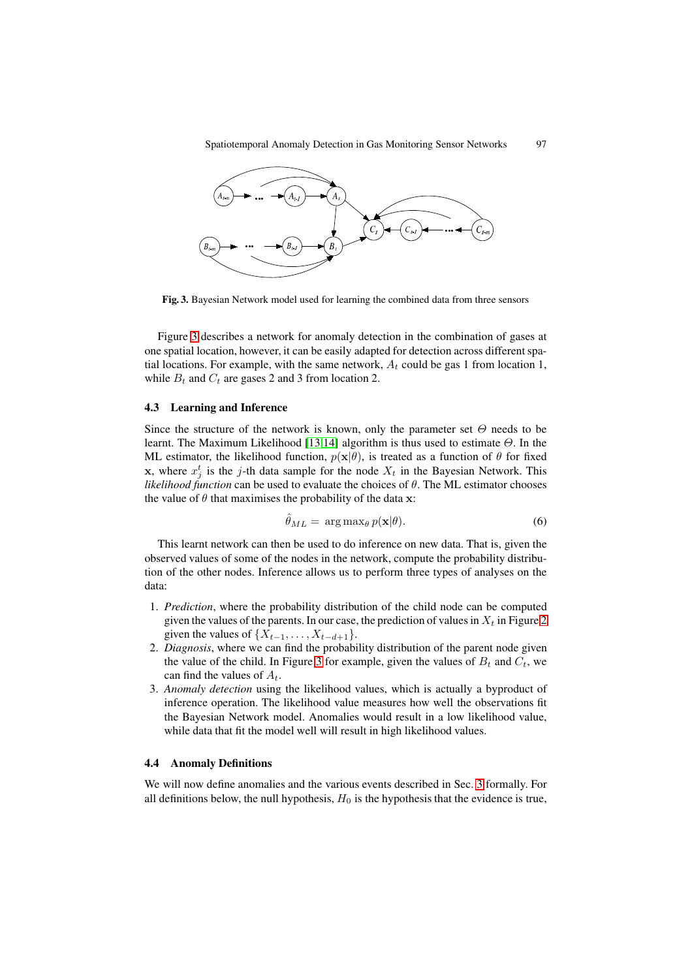

**Fig. 3.** Bayesian Network model used for learning the combined data from three sensors

<span id="page-7-1"></span>Figure [3](#page-7-1) describes a network for anomaly detection in the combination of gases at one spatial location, however, it can be easily adapted for detection across different spatial locations. For example, with the same network,  $A_t$  could be gas 1 from location 1, while  $B_t$  and  $C_t$  are gases 2 and 3 from location 2.

### **4.3 Learning and Inference**

Since the structure of the network is known, only the parameter set  $\Theta$  needs to be learnt. The Maximum Likelihood [\[13](#page-14-11)[,14\]](#page-14-12) algorithm is thus used to estimate  $\Theta$ . In the ML estimator, the likelihood function,  $p(x|\theta)$ , is treated as a function of  $\theta$  for fixed **x**, where  $x_i^t$  is the j-th data sample for the node  $X_t$  in the Bayesian Network. This *likelihood function* can be used to evaluate the choices of  $\theta$ . The ML estimator chooses the value of  $\theta$  that maximises the probability of the data **x**:

$$
\hat{\theta}_{ML} = \arg \max_{\theta} p(\mathbf{x}|\theta). \tag{6}
$$

This learnt network can then be used to do inference on new data. That is, given the observed values of some of the nodes in the network, compute the probability distribution of the other nodes. Inference allows us to perform three types of analyses on the data:

- 1. *Prediction*, where the probability distribution of the child node can be computed given the values of the parents. In our case, the prediction of values in  $X_t$  in Figure [2](#page-6-0) given the values of  $\{X_{t-1},\ldots,X_{t-d+1}\}.$
- 2. *Diagnosis*, where we can find the probability distribution of the parent node given the value of the child. In Figure [3](#page-7-1) for example, given the values of  $B_t$  and  $C_t$ , we can find the values of  $A_t$ .
- 3. *Anomaly detection* using the likelihood values, which is actually a byproduct of inference operation. The likelihood value measures how well the observations fit the Bayesian Network model. Anomalies would result in a low likelihood value, while data that fit the model well will result in high likelihood values.

### <span id="page-7-0"></span>**4.4 Anomaly Definitions**

We will now define anomalies and the various events described in Sec. [3](#page-3-0) formally. For all definitions below, the null hypothesis,  $H_0$  is the hypothesis that the evidence is true,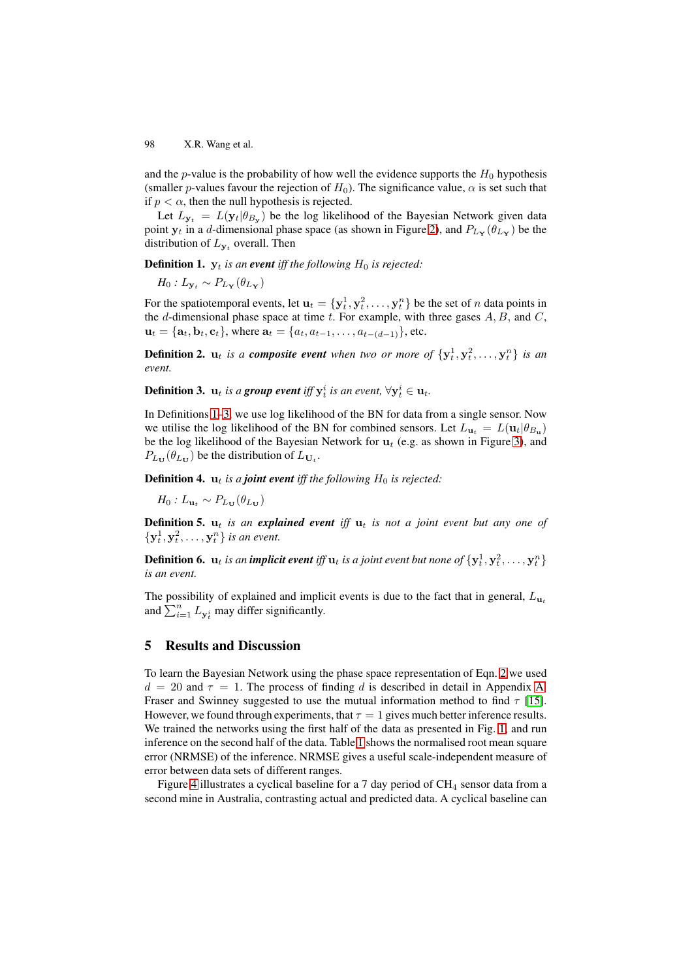and the *p*-value is the probability of how well the evidence supports the  $H_0$  hypothesis (smaller *p*-values favour the rejection of  $H_0$ ). The significance value,  $\alpha$  is set such that if  $p < \alpha$ , then the null hypothesis is rejected.

Let  $L_{\mathbf{y}_t} = L(\mathbf{y}_t | \theta_{B_{\mathbf{y}}})$  be the log likelihood of the Bayesian Network given data point **y**<sub>t</sub> in a d-dimensional phase space (as shown in Figure [2\)](#page-6-0), and  $P_{L_Y}(\theta_{L_Y})$  be the distribution of  $L_{\mathbf{y}_t}$  overall. Then

**Definition 1.**  $y_t$  *is an event iff the following*  $H_0$  *is rejected:* 

<span id="page-8-1"></span> $H_0: L_{\mathbf{y}_t} \sim P_{L_{\mathbf{Y}}}(\theta_{L_{\mathbf{Y}}})$ 

For the spatiotemporal events, let  $\mathbf{u}_t = {\mathbf{y}_t^1, \mathbf{y}_t^2, \dots, \mathbf{y}_t^n}$  be the set of *n* data points in the *d*-dimensional phase space at time *t*. For example, with three gases *A*, *B*, and *C*. the  $d$ -dimensional phase space at time  $t$ . For example, with three gases  $A, B$ , and  $C$ ,  $$ 

**Definition 2.**  $\mathbf{u}_t$  *is a composite event when two or more of*  $\{\mathbf{y}_t^1, \mathbf{y}_t^2, \ldots, \mathbf{y}_t^n\}$  *is an event.*

<span id="page-8-2"></span>**Definition 3.**  $\mathbf{u}_t$  *is a group event iff*  $\mathbf{y}_t^i$  *is an event,*  $\forall \mathbf{y}_t^i \in \mathbf{u}_t$ .

In Definitions [1](#page-8-1)[–3,](#page-8-2) we use log likelihood of the BN for data from a single sensor. Now we utilise the log likelihood of the BN for combined sensors. Let  $L_{\mathbf{u}_t} = L(\mathbf{u}_t | \theta_{B_{\mathbf{u}}})$ be the log likelihood of the Bayesian Network for  $\mathbf{u}_t$  (e.g. as shown in Figure [3\)](#page-7-1), and  $P_{L_{\text{UL}}}(\theta_{L_{\text{UL}}}$  be the distribution of  $L_{\text{UL}}$ .

**Definition 4.**  $\mathbf{u}_t$  *is a joint event iff the following*  $H_0$  *is rejected:* 

 $H_0: L_{\mathbf{u}_t} \sim P_{L_{\mathbf{U}}}(\theta_{L_{\mathbf{U}}})$ 

**Definition 5.**  $u_t$  *is an explained event iff*  $u_t$  *is not a joint event but any one of*  ${\bf y}_t^1, {\bf y}_t^2, \ldots, {\bf y}_t^n$  *is an event.* 

**Definition 6.**  $\mathbf{u}_t$  *is an implicit event iff*  $\mathbf{u}_t$  *is a joint event but none of*  $\{\mathbf{y}_t^1, \mathbf{y}_t^2, \ldots, \mathbf{y}_t^n\}$ *is an event.*

The possibility of explained and implicit events is due to the fact that in general,  $L_{\mathbf{u}_t}$ and  $\sum_{i=1}^{n} L_{\mathbf{y}_t^i}$  may differ significantly.

### <span id="page-8-0"></span>**5 Results and Discussion**

To learn the Bayesian Network using the phase space representation of Eqn. [2](#page-6-1) we used  $d = 20$  and  $\tau = 1$ . The process of finding d is described in detail in Appendix [A.](#page-15-1) Fraser and Swinney suggested to use the mutual information method to find  $\tau$  [\[15\]](#page-14-13). However, we found through experiments, that  $\tau = 1$  gives much better inference results. We trained the networks using the first half of the data as presented in Fig. [1,](#page-2-0) and run inference on the second half of the data. Table [1](#page-9-1) shows the normalised root mean square error (NRMSE) of the inference. NRMSE gives a useful scale-independent measure of error between data sets of different ranges.

Figure [4](#page-9-0) illustrates a cyclical baseline for a  $7$  day period of  $CH_4$  sensor data from a second mine in Australia, contrasting actual and predicted data. A cyclical baseline can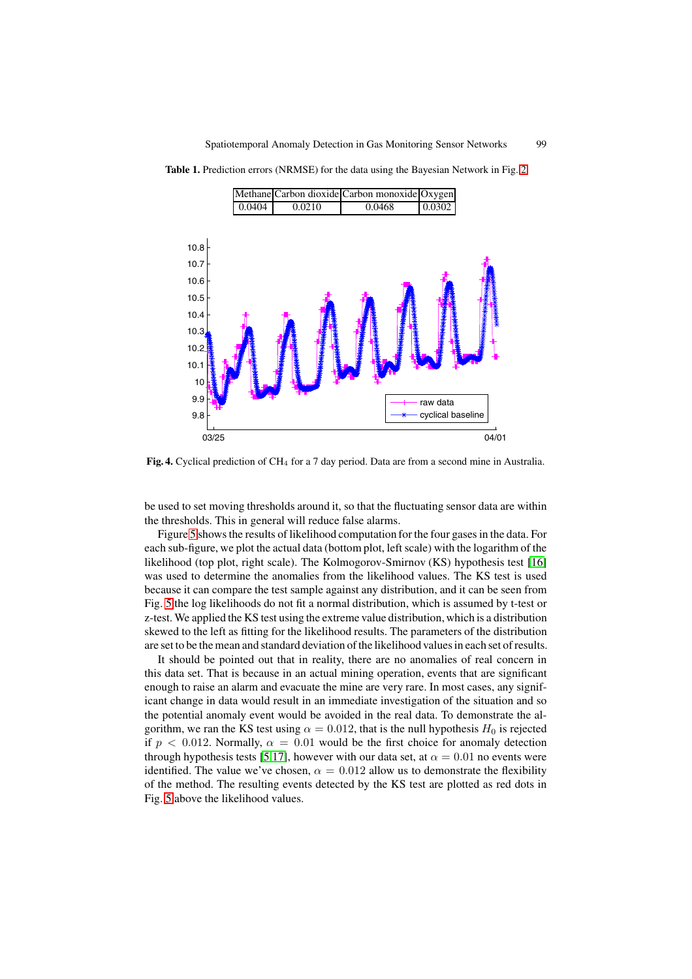<span id="page-9-1"></span>**Table 1.** Prediction errors (NRMSE) for the data using the Bayesian Network in Fig. [2](#page-6-0)



<span id="page-9-0"></span>**Fig. 4.** Cyclical prediction of CH<sup>4</sup> for a 7 day period. Data are from a second mine in Australia.

be used to set moving thresholds around it, so that the fluctuating sensor data are within the thresholds. This in general will reduce false alarms.

Figure [5](#page-10-0) shows the results of likelihood computation for the four gases in the data. For each sub-figure, we plot the actual data (bottom plot, left scale) with the logarithm of the likelihood (top plot, right scale). The Kolmogorov-Smirnov (KS) hypothesis test [\[16\]](#page-14-14) was used to determine the anomalies from the likelihood values. The KS test is used because it can compare the test sample against any distribution, and it can be seen from Fig. [5](#page-10-0) the log likelihoods do not fit a normal distribution, which is assumed by t-test or z-test. We applied the KS test using the extreme value distribution, which is a distribution skewed to the left as fitting for the likelihood results. The parameters of the distribution are set to be the mean and standard deviation of the likelihood values in each set of results.

It should be pointed out that in reality, there are no anomalies of real concern in this data set. That is because in an actual mining operation, events that are significant enough to raise an alarm and evacuate the mine are very rare. In most cases, any significant change in data would result in an immediate investigation of the situation and so the potential anomaly event would be avoided in the real data. To demonstrate the algorithm, we ran the KS test using  $\alpha = 0.012$ , that is the null hypothesis  $H_0$  is rejected if  $p < 0.012$ . Normally,  $\alpha = 0.01$  would be the first choice for anomaly detection through hypothesis tests [\[5,](#page-14-3)[17\]](#page-14-15), however with our data set, at  $\alpha = 0.01$  no events were identified. The value we've chosen,  $\alpha = 0.012$  allow us to demonstrate the flexibility of the method. The resulting events detected by the KS test are plotted as red dots in Fig. [5](#page-10-0) above the likelihood values.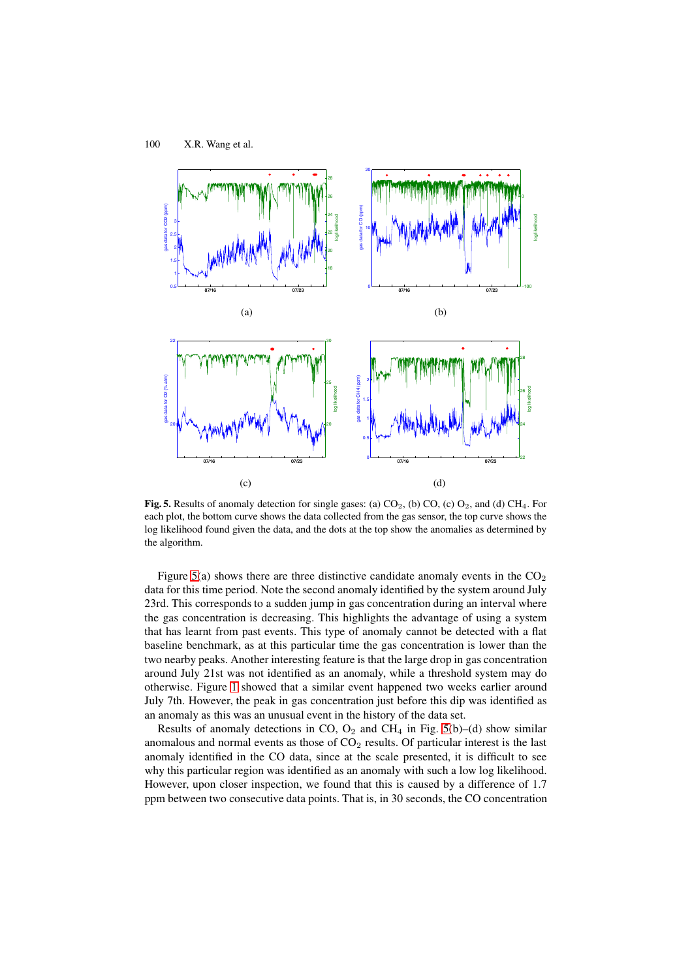

<span id="page-10-0"></span>**Fig. 5.** Results of anomaly detection for single gases: (a)  $CO_2$ , (b)  $CO$ , (c)  $O_2$ , and (d)  $CH_4$ . For each plot, the bottom curve shows the data collected from the gas sensor, the top curve shows the log likelihood found given the data, and the dots at the top show the anomalies as determined by the algorithm.

Figure [5\(](#page-10-0)a) shows there are three distinctive candidate anomaly events in the  $CO<sub>2</sub>$ data for this time period. Note the second anomaly identified by the system around July 23rd. This corresponds to a sudden jump in gas concentration during an interval where the gas concentration is decreasing. This highlights the advantage of using a system that has learnt from past events. This type of anomaly cannot be detected with a flat baseline benchmark, as at this particular time the gas concentration is lower than the two nearby peaks. Another interesting feature is that the large drop in gas concentration around July 21st was not identified as an anomaly, while a threshold system may do otherwise. Figure [1](#page-2-0) showed that a similar event happened two weeks earlier around July 7th. However, the peak in gas concentration just before this dip was identified as an anomaly as this was an unusual event in the history of the data set.

Results of anomaly detections in CO,  $O_2$  and CH<sub>4</sub> in Fig. [5\(](#page-10-0)b)–(d) show similar anomalous and normal events as those of  $CO<sub>2</sub>$  results. Of particular interest is the last anomaly identified in the CO data, since at the scale presented, it is difficult to see why this particular region was identified as an anomaly with such a low log likelihood. However, upon closer inspection, we found that this is caused by a difference of 1.7 ppm between two consecutive data points. That is, in 30 seconds, the CO concentration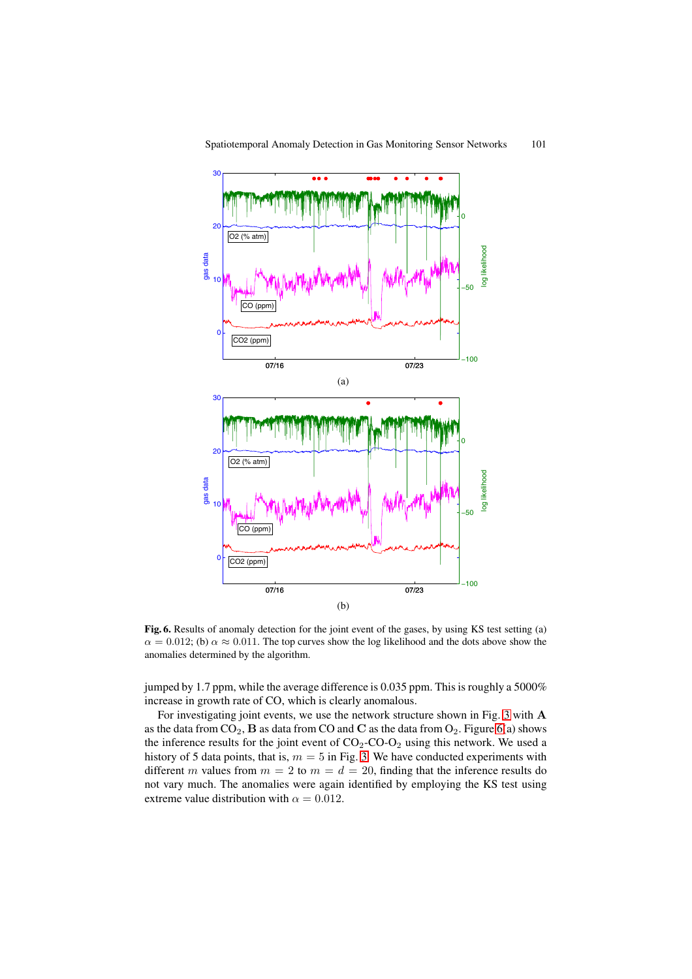

<span id="page-11-0"></span>Fig. 6. Results of anomaly detection for the joint event of the gases, by using KS test setting (a)  $\alpha = 0.012$ ; (b)  $\alpha \approx 0.011$ . The top curves show the log likelihood and the dots above show the anomalies determined by the algorithm.

jumped by 1.7 ppm, while the average difference is 0.035 ppm. This is roughly a 5000% increase in growth rate of CO, which is clearly anomalous.

For investigating joint events, we use the network structure shown in Fig. [3](#page-7-1) with **A** as the data from  $CO_2$ ,  $\bf{B}$  as data from  $\bf{CO}$  and  $\bf{C}$  as the data from  $O_2$ . Figure [6\(](#page-11-0)a) shows the inference results for the joint event of  $CO<sub>2</sub>-CO-O<sub>2</sub>$  using this network. We used a history of 5 data points, that is,  $m = 5$  in Fig. [3.](#page-7-1) We have conducted experiments with different m values from  $m = 2$  to  $m = d = 20$ , finding that the inference results do not vary much. The anomalies were again identified by employing the KS test using extreme value distribution with  $\alpha = 0.012$ .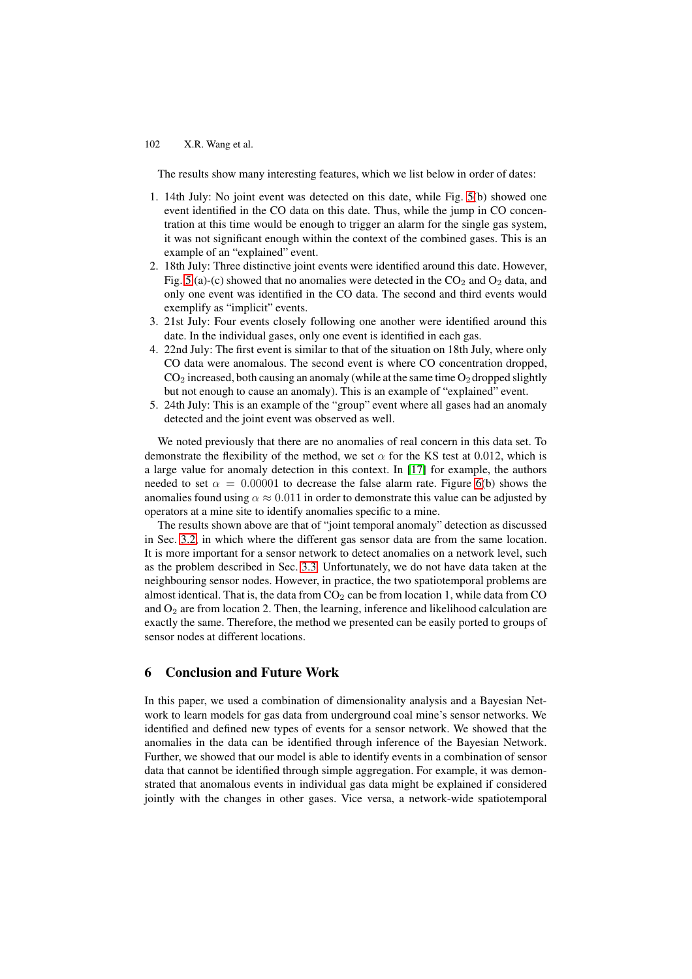The results show many interesting features, which we list below in order of dates:

- 1. 14th July: No joint event was detected on this date, while Fig. [5\(](#page-10-0)b) showed one event identified in the CO data on this date. Thus, while the jump in CO concentration at this time would be enough to trigger an alarm for the single gas system, it was not significant enough within the context of the combined gases. This is an example of an "explained" event.
- 2. 18th July: Three distinctive joint events were identified around this date. However, Fig. [5](#page-10-0) (a)-(c) showed that no anomalies were detected in the  $CO<sub>2</sub>$  and  $O<sub>2</sub>$  data, and only one event was identified in the CO data. The second and third events would exemplify as "implicit" events.
- 3. 21st July: Four events closely following one another were identified around this date. In the individual gases, only one event is identified in each gas.
- 4. 22nd July: The first event is similar to that of the situation on 18th July, where only CO data were anomalous. The second event is where CO concentration dropped,  $CO<sub>2</sub>$  increased, both causing an anomaly (while at the same time  $O<sub>2</sub>$  dropped slightly but not enough to cause an anomaly). This is an example of "explained" event.
- 5. 24th July: This is an example of the "group" event where all gases had an anomaly detected and the joint event was observed as well.

We noted previously that there are no anomalies of real concern in this data set. To demonstrate the flexibility of the method, we set  $\alpha$  for the KS test at 0.012, which is a large value for anomaly detection in this context. In [\[17\]](#page-14-15) for example, the authors needed to set  $\alpha = 0.00001$  to decrease the false alarm rate. Figure [6\(](#page-11-0)b) shows the anomalies found using  $\alpha \approx 0.011$  in order to demonstrate this value can be adjusted by operators at a mine site to identify anomalies specific to a mine.

The results shown above are that of "joint temporal anomaly" detection as discussed in Sec. [3.2,](#page-3-1) in which where the different gas sensor data are from the same location. It is more important for a sensor network to detect anomalies on a network level, such as the problem described in Sec. [3.3.](#page-4-1) Unfortunately, we do not have data taken at the neighbouring sensor nodes. However, in practice, the two spatiotemporal problems are almost identical. That is, the data from  $CO<sub>2</sub>$  can be from location 1, while data from CO and  $O_2$  are from location 2. Then, the learning, inference and likelihood calculation are exactly the same. Therefore, the method we presented can be easily ported to groups of sensor nodes at different locations.

# <span id="page-12-0"></span>**6 Conclusion and Future Work**

In this paper, we used a combination of dimensionality analysis and a Bayesian Network to learn models for gas data from underground coal mine's sensor networks. We identified and defined new types of events for a sensor network. We showed that the anomalies in the data can be identified through inference of the Bayesian Network. Further, we showed that our model is able to identify events in a combination of sensor data that cannot be identified through simple aggregation. For example, it was demonstrated that anomalous events in individual gas data might be explained if considered jointly with the changes in other gases. Vice versa, a network-wide spatiotemporal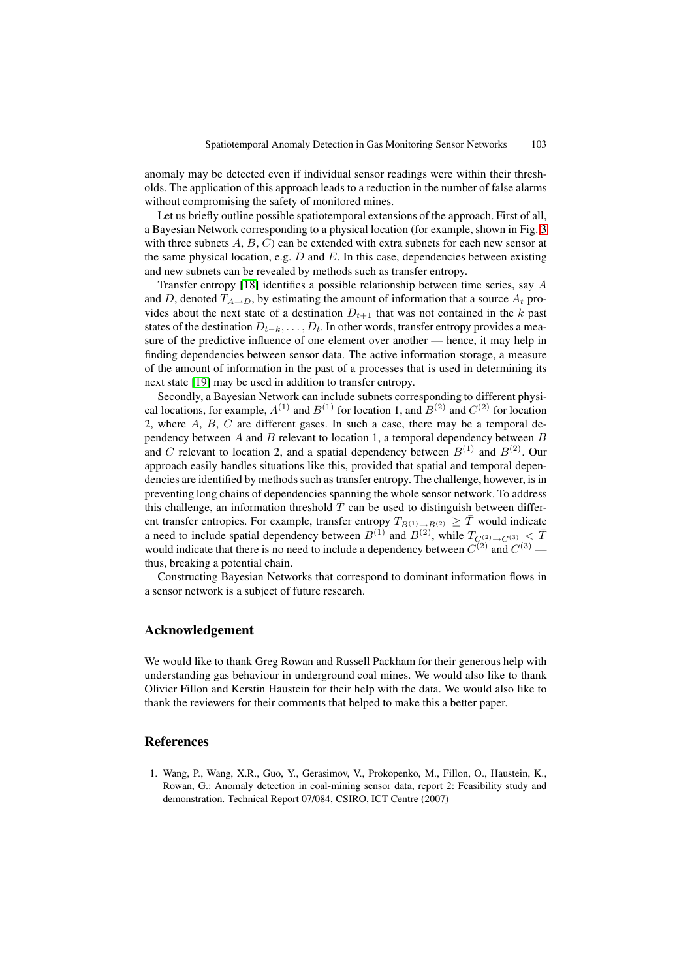anomaly may be detected even if individual sensor readings were within their thresholds. The application of this approach leads to a reduction in the number of false alarms without compromising the safety of monitored mines.

Let us briefly outline possible spatiotemporal extensions of the approach. First of all, a Bayesian Network corresponding to a physical location (for example, shown in Fig. [3](#page-7-1) with three subnets A, B, C) can be extended with extra subnets for each new sensor at the same physical location, e.g.  $D$  and  $E$ . In this case, dependencies between existing and new subnets can be revealed by methods such as transfer entropy.

Transfer entropy [\[18\]](#page-14-16) identifies a possible relationship between time series, say A and D, denoted  $T_{A\rightarrow D}$ , by estimating the amount of information that a source  $A_t$  provides about the next state of a destination  $D_{t+1}$  that was not contained in the k past states of the destination  $D_{t-k}, \ldots, D_t$ . In other words, transfer entropy provides a measure of the predictive influence of one element over another — hence, it may help in finding dependencies between sensor data. The active information storage, a measure of the amount of information in the past of a processes that is used in determining its next state [\[19\]](#page-14-17) may be used in addition to transfer entropy.

Secondly, a Bayesian Network can include subnets corresponding to different physical locations, for example,  $A^{(1)}$  and  $B^{(1)}$  for location 1, and  $B^{(2)}$  and  $C^{(2)}$  for location 2, where A, B, C are different gases. In such a case, there may be a temporal dependency between  $A$  and  $B$  relevant to location 1, a temporal dependency between  $B$ and C relevant to location 2, and a spatial dependency between  $B^{(1)}$  and  $B^{(2)}$ . Our approach easily handles situations like this, provided that spatial and temporal dependencies are identified by methods such as transfer entropy. The challenge, however, is in preventing long chains of dependencies spanning the whole sensor network. To address this challenge, an information threshold  $\overline{T}$  can be used to distinguish between different transfer entropies. For example, transfer entropy  $T_{B(1)\rightarrow B(2)} \geq \overline{T}$  would indicate a need to include spatial dependency between  $B^{(1)}$  and  $B^{(2)}$ , while  $T_{C^{(2)}\to C^{(3)}} < \overline{T}$ would indicate that there is no need to include a dependency between  $C^{(2)}$  and  $C^{(3)}$  thus, breaking a potential chain.

Constructing Bayesian Networks that correspond to dominant information flows in a sensor network is a subject of future research.

# **Acknowledgement**

We would like to thank Greg Rowan and Russell Packham for their generous help with understanding gas behaviour in underground coal mines. We would also like to thank Olivier Fillon and Kerstin Haustein for their help with the data. We would also like to thank the reviewers for their comments that helped to make this a better paper.

## <span id="page-13-0"></span>**References**

1. Wang, P., Wang, X.R., Guo, Y., Gerasimov, V., Prokopenko, M., Fillon, O., Haustein, K., Rowan, G.: Anomaly detection in coal-mining sensor data, report 2: Feasibility study and demonstration. Technical Report 07/084, CSIRO, ICT Centre (2007)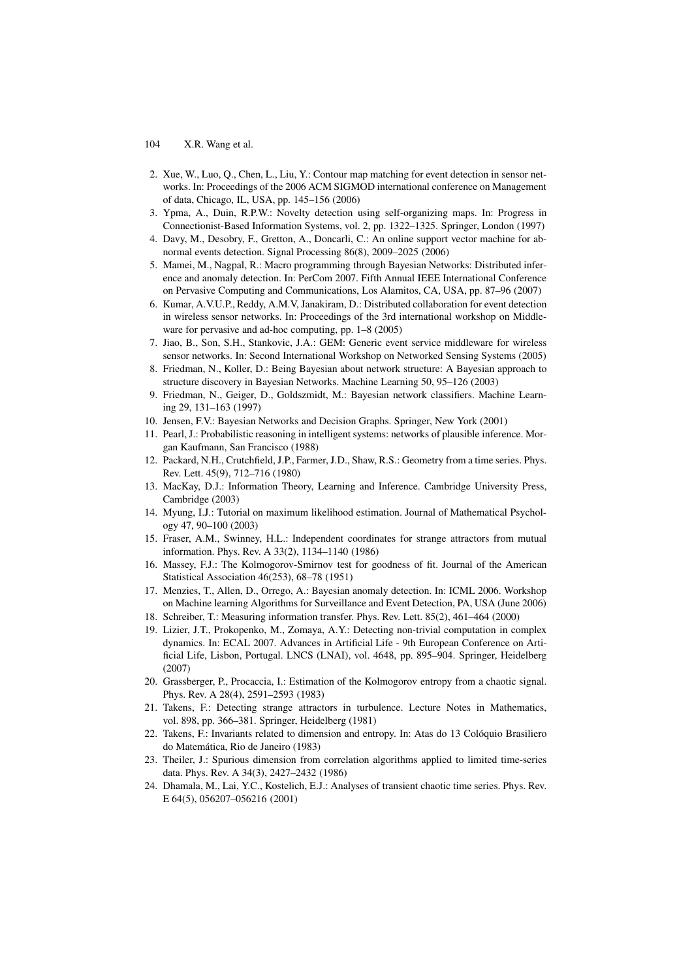- <span id="page-14-0"></span>2. Xue, W., Luo, Q., Chen, L., Liu, Y.: Contour map matching for event detection in sensor networks. In: Proceedings of the 2006 ACM SIGMOD international conference on Management of data, Chicago, IL, USA, pp. 145–156 (2006)
- <span id="page-14-1"></span>3. Ypma, A., Duin, R.P.W.: Novelty detection using self-organizing maps. In: Progress in Connectionist-Based Information Systems, vol. 2, pp. 1322–1325. Springer, London (1997)
- <span id="page-14-2"></span>4. Davy, M., Desobry, F., Gretton, A., Doncarli, C.: An online support vector machine for abnormal events detection. Signal Processing 86(8), 2009–2025 (2006)
- <span id="page-14-3"></span>5. Mamei, M., Nagpal, R.: Macro programming through Bayesian Networks: Distributed inference and anomaly detection. In: PerCom 2007. Fifth Annual IEEE International Conference on Pervasive Computing and Communications, Los Alamitos, CA, USA, pp. 87–96 (2007)
- <span id="page-14-4"></span>6. Kumar, A.V.U.P., Reddy, A.M.V, Janakiram, D.: Distributed collaboration for event detection in wireless sensor networks. In: Proceedings of the 3rd international workshop on Middleware for pervasive and ad-hoc computing, pp. 1–8 (2005)
- <span id="page-14-6"></span><span id="page-14-5"></span>7. Jiao, B., Son, S.H., Stankovic, J.A.: GEM: Generic event service middleware for wireless sensor networks. In: Second International Workshop on Networked Sensing Systems (2005)
- 8. Friedman, N., Koller, D.: Being Bayesian about network structure: A Bayesian approach to structure discovery in Bayesian Networks. Machine Learning 50, 95–126 (2003)
- <span id="page-14-7"></span>9. Friedman, N., Geiger, D., Goldszmidt, M.: Bayesian network classifiers. Machine Learning 29, 131–163 (1997)
- <span id="page-14-9"></span><span id="page-14-8"></span>10. Jensen, F.V.: Bayesian Networks and Decision Graphs. Springer, New York (2001)
- 11. Pearl, J.: Probabilistic reasoning in intelligent systems: networks of plausible inference. Morgan Kaufmann, San Francisco (1988)
- <span id="page-14-10"></span>12. Packard, N.H., Crutchfield, J.P., Farmer, J.D., Shaw, R.S.: Geometry from a time series. Phys. Rev. Lett. 45(9), 712–716 (1980)
- <span id="page-14-11"></span>13. MacKay, D.J.: Information Theory, Learning and Inference. Cambridge University Press, Cambridge (2003)
- <span id="page-14-12"></span>14. Myung, I.J.: Tutorial on maximum likelihood estimation. Journal of Mathematical Psychology 47, 90–100 (2003)
- <span id="page-14-13"></span>15. Fraser, A.M., Swinney, H.L.: Independent coordinates for strange attractors from mutual information. Phys. Rev. A 33(2), 1134–1140 (1986)
- <span id="page-14-14"></span>16. Massey, F.J.: The Kolmogorov-Smirnov test for goodness of fit. Journal of the American Statistical Association 46(253), 68–78 (1951)
- <span id="page-14-15"></span>17. Menzies, T., Allen, D., Orrego, A.: Bayesian anomaly detection. In: ICML 2006. Workshop on Machine learning Algorithms for Surveillance and Event Detection, PA, USA (June 2006)
- <span id="page-14-17"></span><span id="page-14-16"></span>18. Schreiber, T.: Measuring information transfer. Phys. Rev. Lett. 85(2), 461–464 (2000)
- 19. Lizier, J.T., Prokopenko, M., Zomaya, A.Y.: Detecting non-trivial computation in complex dynamics. In: ECAL 2007. Advances in Artificial Life - 9th European Conference on Artificial Life, Lisbon, Portugal. LNCS (LNAI), vol. 4648, pp. 895–904. Springer, Heidelberg (2007)
- <span id="page-14-18"></span>20. Grassberger, P., Procaccia, I.: Estimation of the Kolmogorov entropy from a chaotic signal. Phys. Rev. A 28(4), 2591–2593 (1983)
- <span id="page-14-19"></span>21. Takens, F.: Detecting strange attractors in turbulence. Lecture Notes in Mathematics, vol. 898, pp. 366–381. Springer, Heidelberg (1981)
- <span id="page-14-20"></span>22. Takens, F.: Invariants related to dimension and entropy. In: Atas do 13 Colóquio Brasiliero do Matemática, Rio de Janeiro (1983)
- <span id="page-14-21"></span>23. Theiler, J.: Spurious dimension from correlation algorithms applied to limited time-series data. Phys. Rev. A 34(3), 2427–2432 (1986)
- <span id="page-14-22"></span>24. Dhamala, M., Lai, Y.C., Kostelich, E.J.: Analyses of transient chaotic time series. Phys. Rev. E 64(5), 056207–056216 (2001)